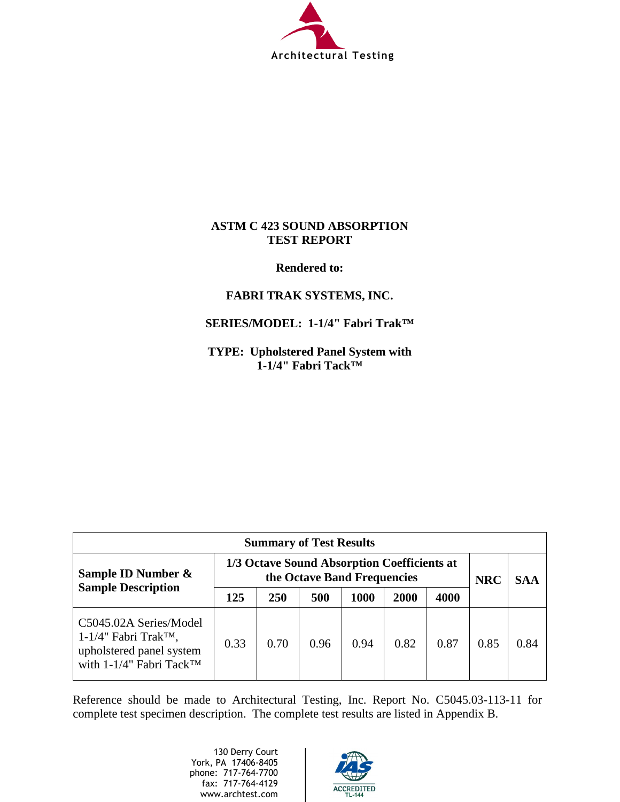

## **ASTM C 423 SOUND ABSORPTION TEST REPORT**

**Rendered to:**

# **FABRI TRAK SYSTEMS, INC.**

# **SERIES/MODEL: 1-1/4" Fabri Trak™**

**TYPE: Upholstered Panel System with 1-1/4" Fabri Tack™** 

| <b>Summary of Test Results</b>                                                                                        |                                                                            |            |      |      |      |      |            |            |
|-----------------------------------------------------------------------------------------------------------------------|----------------------------------------------------------------------------|------------|------|------|------|------|------------|------------|
| Sample ID Number &                                                                                                    | 1/3 Octave Sound Absorption Coefficients at<br>the Octave Band Frequencies |            |      |      |      |      | <b>NRC</b> | <b>SAA</b> |
| <b>Sample Description</b>                                                                                             | 125                                                                        | <b>250</b> | 500  | 1000 | 2000 | 4000 |            |            |
| C5045.02A Series/Model<br>$1-1/4$ " Fabri Trak <sup>TM</sup> ,<br>upholstered panel system<br>with 1-1/4" Fabri Tack™ | 0.33                                                                       | 0.70       | 0.96 | 0.94 | 0.82 | 0.87 | 0.85       | 0.84       |

Reference should be made to Architectural Testing, Inc. Report No. C5045.03-113-11 for complete test specimen description. The complete test results are listed in Appendix B.

> 130 Derry Court York, PA 17406-8405 phone: 717-764-7700 fax: 717-764-4129 www.archtest.com

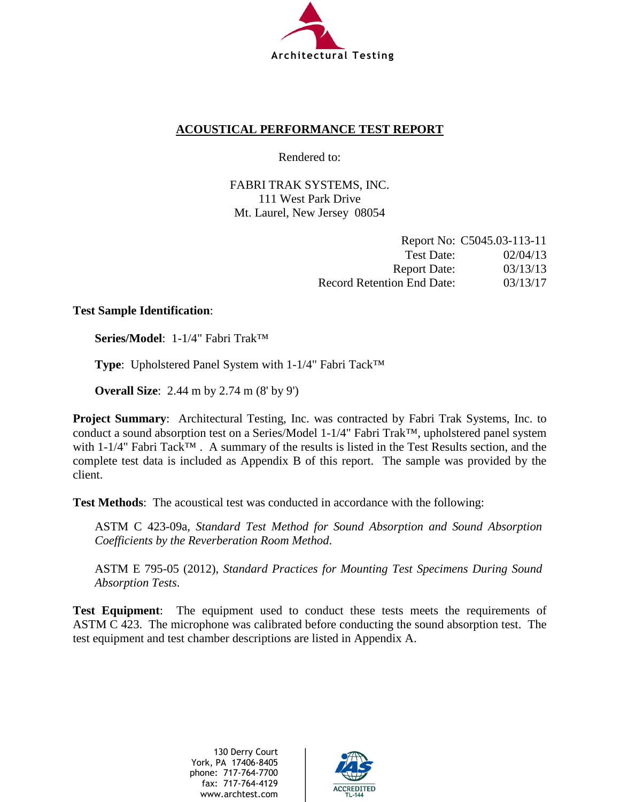

# **ACOUSTICAL PERFORMANCE TEST REPORT**

Rendered to:

FABRI TRAK SYSTEMS, INC. 111 West Park Drive Mt. Laurel, New Jersey 08054

|                                   | Report No: C5045.03-113-11 |
|-----------------------------------|----------------------------|
| Test Date:                        | 02/04/13                   |
| <b>Report Date:</b>               | 03/13/13                   |
| <b>Record Retention End Date:</b> | 03/13/17                   |

## **Test Sample Identification**:

**Series/Model**: 1-1/4" Fabri Trak™

**Type**: Upholstered Panel System with 1-1/4" Fabri Tack™

**Overall Size**: 2.44 m by 2.74 m (8' by 9')

**Project Summary**: Architectural Testing, Inc. was contracted by Fabri Trak Systems, Inc. to conduct a sound absorption test on a Series/Model 1-1/4" Fabri Trak™, upholstered panel system with 1-1/4" Fabri Tack™ . A summary of the results is listed in the Test Results section, and the complete test data is included as Appendix B of this report. The sample was provided by the client.

**Test Methods**: The acoustical test was conducted in accordance with the following:

ASTM C 423-09a, *Standard Test Method for Sound Absorption and Sound Absorption Coefficients by the Reverberation Room Method*.

ASTM E 795-05 (2012), *Standard Practices for Mounting Test Specimens During Sound Absorption Tests*.

**Test Equipment**: The equipment used to conduct these tests meets the requirements of ASTM C 423. The microphone was calibrated before conducting the sound absorption test. The test equipment and test chamber descriptions are listed in Appendix A.

> 130 Derry Court York, PA 17406-8405 phone: 717-764-7700 fax: 717-764-4129 www.archtest.com

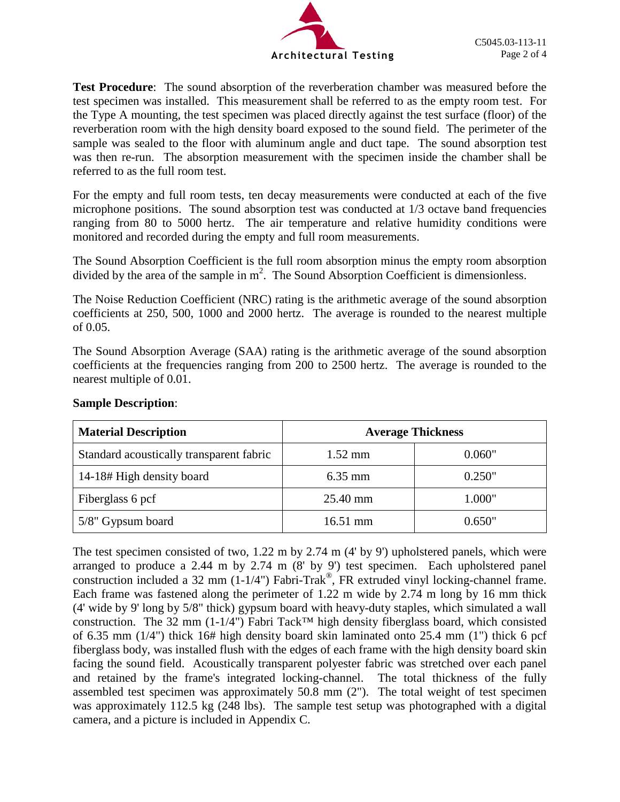

**Test Procedure**: The sound absorption of the reverberation chamber was measured before the test specimen was installed. This measurement shall be referred to as the empty room test. For the Type A mounting, the test specimen was placed directly against the test surface (floor) of the reverberation room with the high density board exposed to the sound field. The perimeter of the sample was sealed to the floor with aluminum angle and duct tape. The sound absorption test was then re-run. The absorption measurement with the specimen inside the chamber shall be referred to as the full room test.

For the empty and full room tests, ten decay measurements were conducted at each of the five microphone positions. The sound absorption test was conducted at 1/3 octave band frequencies ranging from 80 to 5000 hertz. The air temperature and relative humidity conditions were monitored and recorded during the empty and full room measurements.

The Sound Absorption Coefficient is the full room absorption minus the empty room absorption divided by the area of the sample in  $m^2$ . The Sound Absorption Coefficient is dimensionless.

The Noise Reduction Coefficient (NRC) rating is the arithmetic average of the sound absorption coefficients at 250, 500, 1000 and 2000 hertz. The average is rounded to the nearest multiple of 0.05.

The Sound Absorption Average (SAA) rating is the arithmetic average of the sound absorption coefficients at the frequencies ranging from 200 to 2500 hertz. The average is rounded to the nearest multiple of 0.01.

| <b>Material Description</b>              | <b>Average Thickness</b> |        |  |
|------------------------------------------|--------------------------|--------|--|
| Standard acoustically transparent fabric | $1.52 \text{ mm}$        | 0.060" |  |
| 14-18# High density board                | $6.35$ mm                | 0.250" |  |
| Fiberglass 6 pcf                         | 25.40 mm                 | 1.000" |  |
| 5/8" Gypsum board                        | $16.51 \text{ mm}$       | 0.650" |  |

### **Sample Description**:

The test specimen consisted of two, 1.22 m by 2.74 m (4' by 9') upholstered panels, which were arranged to produce a 2.44 m by 2.74 m (8' by 9') test specimen. Each upholstered panel construction included a 32 mm (1-1/4") Fabri-Trak®, FR extruded vinyl locking-channel frame. Each frame was fastened along the perimeter of 1.22 m wide by 2.74 m long by 16 mm thick (4' wide by 9' long by 5/8" thick) gypsum board with heavy-duty staples, which simulated a wall construction. The 32 mm (1-1/4") Fabri Tack<sup>™</sup> high density fiberglass board, which consisted of 6.35 mm (1/4") thick 16# high density board skin laminated onto 25.4 mm (1") thick 6 pcf fiberglass body, was installed flush with the edges of each frame with the high density board skin facing the sound field. Acoustically transparent polyester fabric was stretched over each panel and retained by the frame's integrated locking-channel. The total thickness of the fully assembled test specimen was approximately 50.8 mm (2"). The total weight of test specimen was approximately 112.5 kg (248 lbs). The sample test setup was photographed with a digital camera, and a picture is included in Appendix C.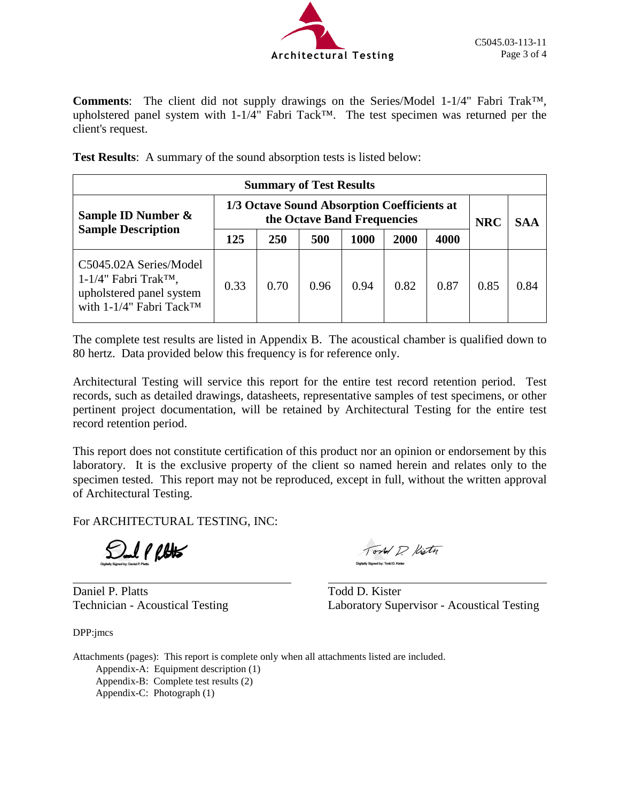

**Comments**: The client did not supply drawings on the Series/Model 1-1/4" Fabri Trak™, upholstered panel system with 1-1/4" Fabri Tack™. The test specimen was returned per the client's request.

**Test Results**: A summary of the sound absorption tests is listed below:

| <b>Summary of Test Results</b>                                                                                        |                                                                            |      |      |      |      |      |            |      |
|-----------------------------------------------------------------------------------------------------------------------|----------------------------------------------------------------------------|------|------|------|------|------|------------|------|
| Sample ID Number &                                                                                                    | 1/3 Octave Sound Absorption Coefficients at<br>the Octave Band Frequencies |      |      |      |      |      | <b>NRC</b> | SAA  |
| <b>Sample Description</b>                                                                                             | 125                                                                        | 250  | 500  | 1000 | 2000 | 4000 |            |      |
| C5045.02A Series/Model<br>$1-1/4$ " Fabri Trak <sup>TM</sup> ,<br>upholstered panel system<br>with 1-1/4" Fabri Tack™ | 0.33                                                                       | 0.70 | 0.96 | 0.94 | 0.82 | 0.87 | 0.85       | 0.84 |

The complete test results are listed in Appendix B. The acoustical chamber is qualified down to 80 hertz. Data provided below this frequency is for reference only.

Architectural Testing will service this report for the entire test record retention period. Test records, such as detailed drawings, datasheets, representative samples of test specimens, or other pertinent project documentation, will be retained by Architectural Testing for the entire test record retention period.

This report does not constitute certification of this product nor an opinion or endorsement by this laboratory. It is the exclusive property of the client so named herein and relates only to the specimen tested. This report may not be reproduced, except in full, without the written approval of Architectural Testing.

For ARCHITECTURAL TESTING, INC:

SI PRHS

Daniel P. Platts Todd D. Kister

DPP:jmcs

Tord P. Kistn

Technician - Acoustical Testing Laboratory Supervisor - Acoustical Testing

Attachments (pages): This report is complete only when all attachments listed are included. Appendix-A: Equipment description (1) Appendix-B: Complete test results (2) Appendix-C: Photograph (1)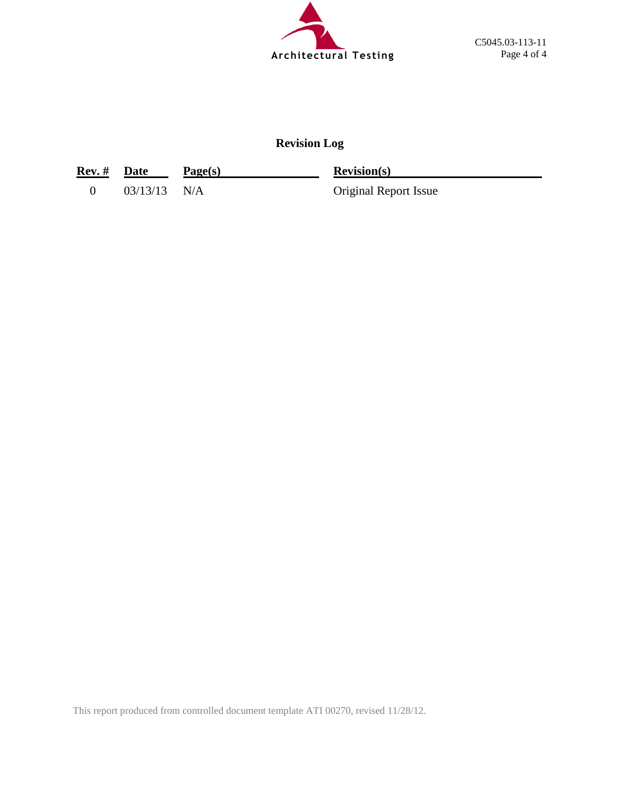

# **Revision Log**

| Rev. # Date |                | Page(s) | <b>Revision(s)</b>           |
|-------------|----------------|---------|------------------------------|
|             | $03/13/13$ N/A |         | <b>Original Report Issue</b> |

This report produced from controlled document template ATI 00270, revised 11/28/12.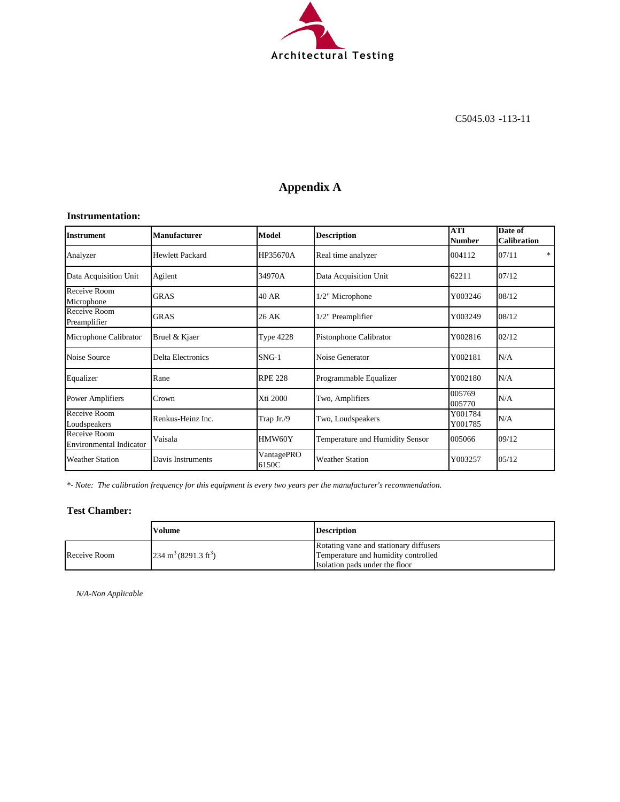

# **Appendix A**

#### **Instrumentation:**

| <b>Instrument</b>                              | <b>Manufacturer</b>      | Model               | <b>Description</b>              | <b>ATI</b><br><b>Number</b> | Date of<br><b>Calibration</b> |
|------------------------------------------------|--------------------------|---------------------|---------------------------------|-----------------------------|-------------------------------|
| Analyzer                                       | <b>Hewlett Packard</b>   | HP35670A            | Real time analyzer              | 004112                      | 07/11<br>*                    |
| Data Acquisition Unit                          | Agilent                  | 34970A              | Data Acquisition Unit           | 62211                       | 07/12                         |
| Receive Room<br>Microphone                     | <b>GRAS</b>              | 40 AR               | 1/2" Microphone                 | Y003246                     | 08/12                         |
| Receive Room<br>Preamplifier                   | <b>GRAS</b>              | 26 AK               | 1/2" Preamplifier               | Y003249                     | 08/12                         |
| Microphone Calibrator                          | Bruel & Kjaer            | <b>Type 4228</b>    | Pistonphone Calibrator          | Y002816                     | 02/12                         |
| Noise Source                                   | <b>Delta Electronics</b> | $SNG-1$             | Noise Generator                 | Y002181                     | N/A                           |
| Equalizer                                      | Rane                     | <b>RPE 228</b>      | Programmable Equalizer          | Y002180                     | N/A                           |
| <b>Power Amplifiers</b>                        | Crown                    | Xti 2000            | Two, Amplifiers                 | 005769<br>005770            | N/A                           |
| Receive Room<br>Loudspeakers                   | Renkus-Heinz Inc.        | Trap Jr./9          | Two, Loudspeakers               | Y001784<br>Y001785          | N/A                           |
| Receive Room<br><b>Environmental Indicator</b> | Vaisala                  | HMW60Y              | Temperature and Humidity Sensor | 005066                      | 09/12                         |
| <b>Weather Station</b>                         | Davis Instruments        | VantagePRO<br>6150C | <b>Weather Station</b>          | Y003257                     | 05/12                         |

*\*- Note: The calibration frequency for this equipment is every two years per the manufacturer's recommendation.*

#### **Test Chamber:**

|              | Volume                                  | <b>Description</b>                     |
|--------------|-----------------------------------------|----------------------------------------|
|              |                                         | Rotating vane and stationary diffusers |
| Receive Room | $234 \text{ m}^3 (8291.3 \text{ ft}^3)$ | Temperature and humidity controlled    |
|              |                                         | Isolation pads under the floor         |

*N/A-Non Applicable*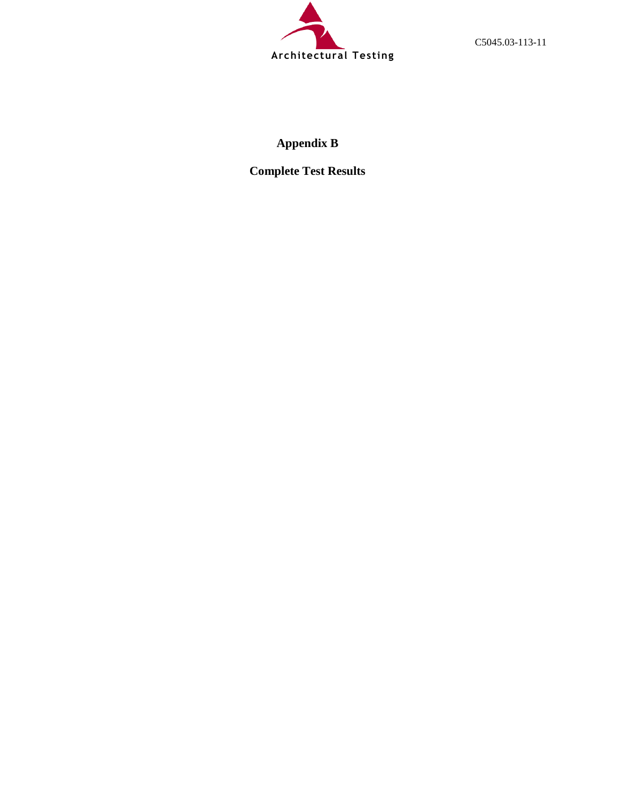

C5045.03-113-11

# **Appendix B**

**Complete Test Results**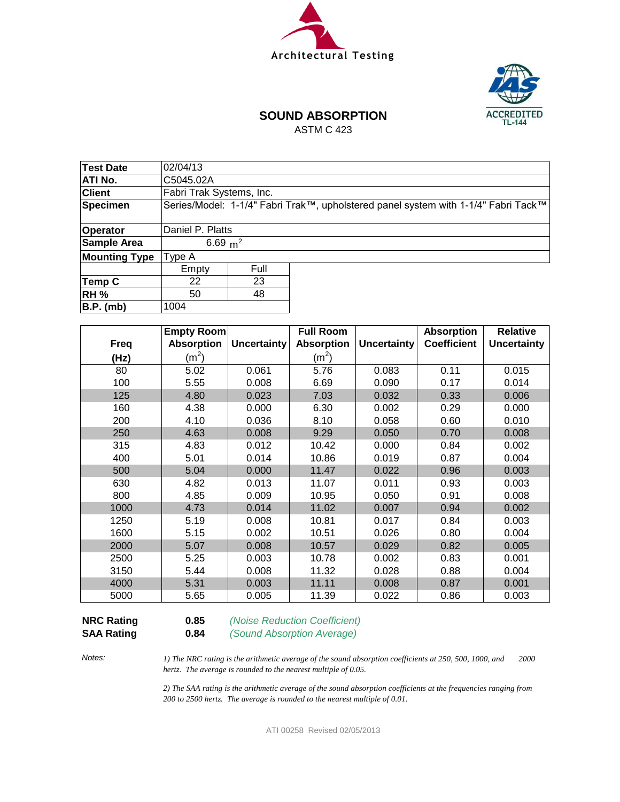



# **SOUND ABSORPTION**

ASTM C 423

| Test Date            | 02/04/13                 |      |                                                                                    |  |  |  |  |
|----------------------|--------------------------|------|------------------------------------------------------------------------------------|--|--|--|--|
| <b>ATI No.</b>       | C5045.02A                |      |                                                                                    |  |  |  |  |
| <b>Client</b>        | Fabri Trak Systems, Inc. |      |                                                                                    |  |  |  |  |
| Specimen             |                          |      | Series/Model: 1-1/4" Fabri Trak™, upholstered panel system with 1-1/4" Fabri Tack™ |  |  |  |  |
|                      |                          |      |                                                                                    |  |  |  |  |
| Operator             | Daniel P. Platts         |      |                                                                                    |  |  |  |  |
| Sample Area          | 6.69 $m^2$               |      |                                                                                    |  |  |  |  |
| <b>Mounting Type</b> | Type A                   |      |                                                                                    |  |  |  |  |
|                      | Empty                    | Full |                                                                                    |  |  |  |  |
| Temp C               | 22                       | 23   |                                                                                    |  |  |  |  |
| <b>RH %</b>          | 48<br>50                 |      |                                                                                    |  |  |  |  |
| B.P. (mb)            | 1004                     |      |                                                                                    |  |  |  |  |

|             | Empty Room        |                    | <b>Full Room</b>  |                    | <b>Absorption</b>  | <b>Relative</b>    |
|-------------|-------------------|--------------------|-------------------|--------------------|--------------------|--------------------|
| <b>Freq</b> | <b>Absorption</b> | <b>Uncertainty</b> | <b>Absorption</b> | <b>Uncertainty</b> | <b>Coefficient</b> | <b>Uncertainty</b> |
| (Hz)        | (m <sup>2</sup> ) |                    | (m <sup>2</sup> ) |                    |                    |                    |
| 80          | 5.02              | 0.061              | 5.76              | 0.083              | 0.11               | 0.015              |
| 100         | 5.55              | 0.008              | 6.69              | 0.090              | 0.17               | 0.014              |
| 125         | 4.80              | 0.023              | 7.03              | 0.032              | 0.33               | 0.006              |
| 160         | 4.38              | 0.000              | 6.30              | 0.002              | 0.29               | 0.000              |
| 200         | 4.10              | 0.036              | 8.10              | 0.058              | 0.60               | 0.010              |
| 250         | 4.63              | 0.008              | 9.29              | 0.050              | 0.70               | 0.008              |
| 315         | 4.83              | 0.012              | 10.42             | 0.000              | 0.84               | 0.002              |
| 400         | 5.01              | 0.014              | 10.86             | 0.019              | 0.87               | 0.004              |
| 500         | 5.04              | 0.000              | 11.47             | 0.022              | 0.96               | 0.003              |
| 630         | 4.82              | 0.013              | 11.07             | 0.011              | 0.93               | 0.003              |
| 800         | 4.85              | 0.009              | 10.95             | 0.050              | 0.91               | 0.008              |
| 1000        | 4.73              | 0.014              | 11.02             | 0.007              | 0.94               | 0.002              |
| 1250        | 5.19              | 0.008              | 10.81             | 0.017              | 0.84               | 0.003              |
| 1600        | 5.15              | 0.002              | 10.51             | 0.026              | 0.80               | 0.004              |
| 2000        | 5.07              | 0.008              | 10.57             | 0.029              | 0.82               | 0.005              |
| 2500        | 5.25              | 0.003              | 10.78             | 0.002              | 0.83               | 0.001              |
| 3150        | 5.44              | 0.008              | 11.32             | 0.028              | 0.88               | 0.004              |
| 4000        | 5.31              | 0.003              | 11.11             | 0.008              | 0.87               | 0.001              |
| 5000        | 5.65              | 0.005              | 11.39             | 0.022              | 0.86               | 0.003              |

**NRC Rating 0.85** *(Noise Reduction Coefficient)*

**SAA Rating 0.84** *(Sound Absorption Average)*

*Notes:*

*1) The NRC rating is the arithmetic average of the sound absorption coefficients at 250, 500, 1000, and 2000 hertz. The average is rounded to the nearest multiple of 0.05.*

*2) The SAA rating is the arithmetic average of the sound absorption coefficients at the frequencies ranging from 200 to 2500 hertz. The average is rounded to the nearest multiple of 0.01.*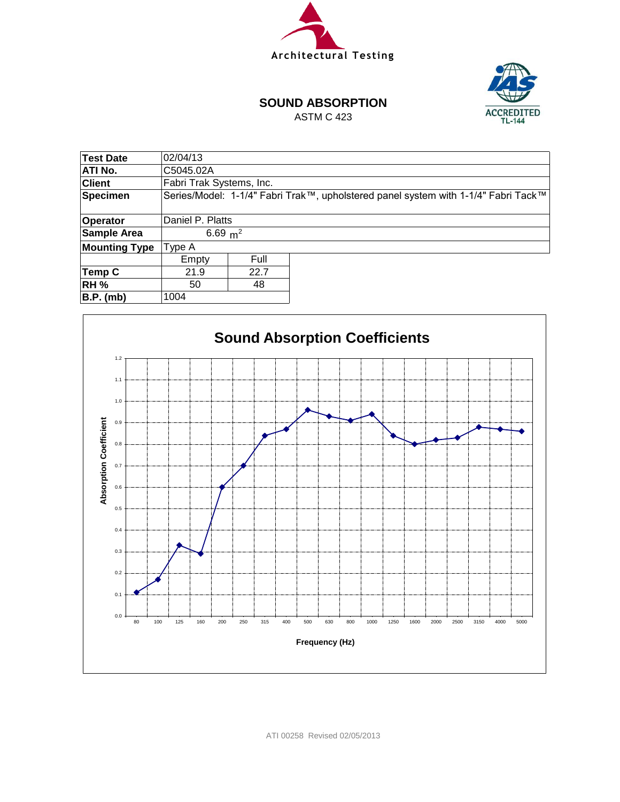



#### **SOUND ABSORPTION**

ASTM C 423

| Test Date            | 02/04/13                 |      |                                                                                    |  |  |  |  |
|----------------------|--------------------------|------|------------------------------------------------------------------------------------|--|--|--|--|
| ATI No.              | C5045.02A                |      |                                                                                    |  |  |  |  |
| <b>Client</b>        | Fabri Trak Systems, Inc. |      |                                                                                    |  |  |  |  |
| <b>Specimen</b>      |                          |      | Series/Model: 1-1/4" Fabri Trak™, upholstered panel system with 1-1/4" Fabri Tack™ |  |  |  |  |
|                      |                          |      |                                                                                    |  |  |  |  |
| Operator             | Daniel P. Platts         |      |                                                                                    |  |  |  |  |
| Sample Area          | 6.69 $m^2$               |      |                                                                                    |  |  |  |  |
| <b>Mounting Type</b> | Type A                   |      |                                                                                    |  |  |  |  |
|                      | Empty                    | Full |                                                                                    |  |  |  |  |
| Temp C               | 22.7<br>21.9             |      |                                                                                    |  |  |  |  |
| <b>RH %</b>          | 48<br>50                 |      |                                                                                    |  |  |  |  |
| B.P. (mb)            | 1004                     |      |                                                                                    |  |  |  |  |